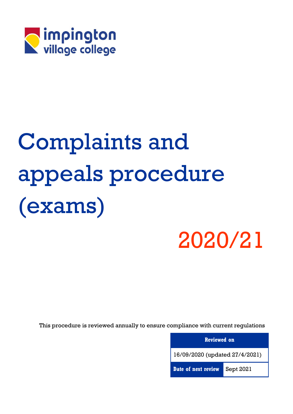

# Complaints and appeals procedure (exams)

# 2020/21

This procedure is reviewed annually to ensure compliance with current regulations

| <b>Reviewed on</b>             |           |  |  |
|--------------------------------|-----------|--|--|
| 16/09/2020 (updated 27/4/2021) |           |  |  |
| Date of next review            | Sept 2021 |  |  |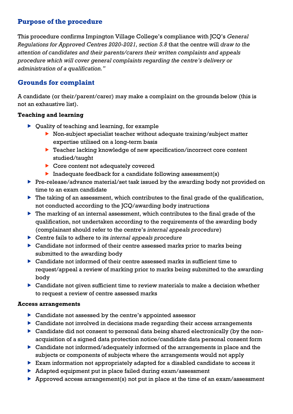# **Purpose of the procedure**

This procedure confirms Impington Village College's compliance with JCQ's *General Regulations for Approved Centres 2020-2021, section 5.8* that the centre will *draw to the attention of candidates and their parents/carers their written complaints and appeals procedure which will cover general complaints regarding the centre's delivery or administration of a qualification."*

# **Grounds for complaint**

A candidate (or their/parent/carer) may make a complaint on the grounds below (this is not an exhaustive list).

#### **Teaching and learning**

- ▶ Quality of teaching and learning, for example
	- ▶ Non-subject specialist teacher without adequate training/subject matter expertise utilised on a long-term basis
	- ▶ Teacher lacking knowledge of new specification/incorrect core content studied/taught
	- Core content not adequately covered
	- Inadequate feedback for a candidate following assessment(s)
- Pre-release/advance material/set task issued by the awarding body not provided on time to an exam candidate
- $\blacktriangleright$  The taking of an assessment, which contributes to the final grade of the qualification, not conducted according to the JCQ/awarding body instructions
- The marking of an internal assessment, which contributes to the final grade of the qualification, not undertaken according to the requirements of the awarding body (complainant should refer to the centre's *internal appeals procedure*)
- Centre fails to adhere to its *internal appeals procedure*
- Candidate not informed of their centre assessed marks prior to marks being submitted to the awarding body
- Candidate not informed of their centre assessed marks in sufficient time to request/appeal a review of marking prior to marks being submitted to the awarding body
- Candidate not given sufficient time to review materials to make a decision whether to request a review of centre assessed marks

#### **Access arrangements**

- Candidate not assessed by the centre's appointed assessor
- Candidate not involved in decisions made regarding their access arrangements
- Candidate did not consent to personal data being shared electronically (by the nonacquisition of a signed data protection notice/candidate data personal consent form
- Candidate not informed/adequately informed of the arrangements in place and the subjects or components of subjects where the arrangements would not apply
- Exam information not appropriately adapted for a disabled candidate to access it
- Adapted equipment put in place failed during exam/assessment
- Approved access arrangement(s) not put in place at the time of an exam/assessment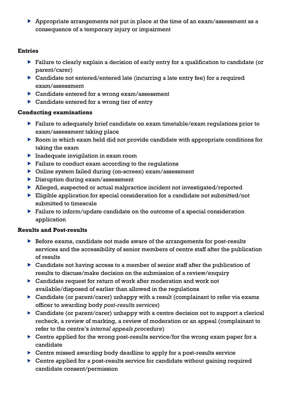Appropriate arrangements not put in place at the time of an exam/assessment as a consequence of a temporary injury or impairment

#### **Entries**

- Failure to clearly explain a decision of early entry for a qualification to candidate (or parent/carer)
- Candidate not entered/entered late (incurring a late entry fee) for a required exam/assessment
- Candidate entered for a wrong exam/assessment
- ▶ Candidate entered for a wrong tier of entry

#### **Conducting examinations**

- Failure to adequately brief candidate on exam timetable/exam regulations prior to exam/assessment taking place
- Room in which exam held did not provide candidate with appropriate conditions for taking the exam
- $\blacktriangleright$  Inadequate invigilation in exam room
- $\blacktriangleright$  Failure to conduct exam according to the regulations
- Online system failed during (on-screen) exam/assessment
- **Disruption during exam/assessment**
- Alleged, suspected or actual malpractice incident not investigated/reported
- Eligible application for special consideration for a candidate not submitted/not submitted to timescale
- Failure to inform/update candidate on the outcome of a special consideration application

#### **Results and Post-results**

- Before exams, candidate not made aware of the arrangements for post-results services and the accessibility of senior members of centre staff after the publication of results
- Candidate not having access to a member of senior staff after the publication of results to discuss/make decision on the submission of a review/enquiry
- Candidate request for return of work after moderation and work not available/disposed of earlier than allowed in the regulations
- Candidate (or parent/carer) unhappy with a result (complainant to refer via exams officer to awarding body *post-results services*)
- Candidate (or parent/carer) unhappy with a centre decision not to support a clerical recheck, a review of marking, a review of moderation or an appeal (complainant to refer to the centre's *internal appeals procedure*)
- ▶ Centre applied for the wrong post-results service/for the wrong exam paper for a candidate
- ▶ Centre missed awarding body deadline to apply for a post-results service
- ▶ Centre applied for a post-results service for candidate without gaining required candidate consent/permission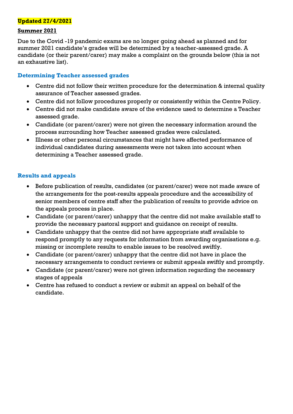#### **Updated 27/4/2021**

#### **Summer 2021**

Due to the Covid -19 pandemic exams are no longer going ahead as planned and for summer 2021 candidate's grades will be determined by a teacher-assessed grade. A candidate (or their parent/carer) may make a complaint on the grounds below (this is not an exhaustive list).

#### **Determining Teacher assessed grades**

- Centre did not follow their written procedure for the determination & internal quality assurance of Teacher assessed grades.
- Centre did not follow procedures properly or consistently within the Centre Policy.
- Centre did not make candidate aware of the evidence used to determine a Teacher assessed grade.
- Candidate (or parent/carer) were not given the necessary information around the process surrounding how Teacher assessed grades were calculated.
- Illness or other personal circumstances that might have affected performance of individual candidates during assessments were not taken into account when determining a Teacher assessed grade.

#### **Results and appeals**

- Before publication of results, candidates (or parent/carer) were not made aware of the arrangements for the post-results appeals procedure and the accessibility of senior members of centre staff after the publication of results to provide advice on the appeals process in place.
- Candidate (or parent/carer) unhappy that the centre did not make available staff to provide the necessary pastoral support and guidance on receipt of results.
- Candidate unhappy that the centre did not have appropriate staff available to respond promptly to any requests for information from awarding organisations e.g. missing or incomplete results to enable issues to be resolved swiftly.
- Candidate (or parent/carer) unhappy that the centre did not have in place the necessary arrangements to conduct reviews or submit appeals swiftly and promptly.
- Candidate (or parent/carer) were not given information regarding the necessary stages of appeals
- Centre has refused to conduct a review or submit an appeal on behalf of the candidate.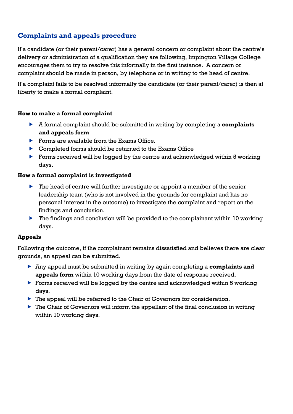# **Complaints and appeals procedure**

If a candidate (or their parent/carer) has a general concern or complaint about the centre's delivery or administration of a qualification they are following, Impington Village College encourages them to try to resolve this informally in the first instance. A concern or complaint should be made in person, by telephone or in writing to the head of centre.

If a complaint fails to be resolved informally the candidate (or their parent/carer) is then at liberty to make a formal complaint.

#### **How to make a formal complaint**

- A formal complaint should be submitted in writing by completing a **complaints and appeals form**
- Forms are available from the Exams Office.
- ▶ Completed forms should be returned to the Exams Office
- **Forms received will be logged by the centre and acknowledged within 5 working** days.

#### **How a formal complaint is investigated**

- ▶ The head of centre will further investigate or appoint a member of the senior leadership team (who is not involved in the grounds for complaint and has no personal interest in the outcome) to investigate the complaint and report on the findings and conclusion.
- $\blacktriangleright$  The findings and conclusion will be provided to the complainant within 10 working days.

#### **Appeals**

Following the outcome, if the complainant remains dissatisfied and believes there are clear grounds, an appeal can be submitted.

- Any appeal must be submitted in writing by again completing a **complaints and appeals form** within 10 working days from the date of response received.
- **Forms received will be logged by the centre and acknowledged within 5 working** days.
- ▶ The appeal will be referred to the Chair of Governors for consideration.
- $\triangleright$  The Chair of Governors will inform the appellant of the final conclusion in writing within 10 working days.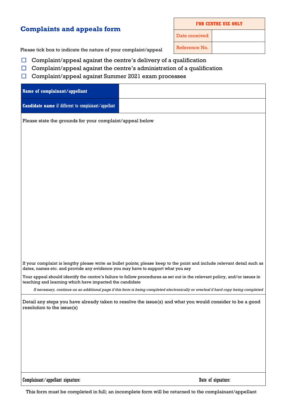### **Complaints and appeals form**

**FOR CENTRE USE ONLY**

Date received

Please tick box to indicate the nature of your complaint/appeal Reference No.

- $\Box$  Complaint/appeal against the centre's delivery of a qualification
- $\Box$  Complaint/appeal against the centre's administration of a qualification
- □ Complaint/appeal against Summer 2021 exam processes

| Name of complainant/appellant                                                                                                          |                                                                                                                                      |  |  |  |
|----------------------------------------------------------------------------------------------------------------------------------------|--------------------------------------------------------------------------------------------------------------------------------------|--|--|--|
| Candidate name if different to complainant/appellant                                                                                   |                                                                                                                                      |  |  |  |
| Please state the grounds for your complaint/appeal below                                                                               |                                                                                                                                      |  |  |  |
|                                                                                                                                        |                                                                                                                                      |  |  |  |
|                                                                                                                                        |                                                                                                                                      |  |  |  |
|                                                                                                                                        |                                                                                                                                      |  |  |  |
|                                                                                                                                        |                                                                                                                                      |  |  |  |
|                                                                                                                                        |                                                                                                                                      |  |  |  |
|                                                                                                                                        |                                                                                                                                      |  |  |  |
|                                                                                                                                        |                                                                                                                                      |  |  |  |
|                                                                                                                                        |                                                                                                                                      |  |  |  |
|                                                                                                                                        |                                                                                                                                      |  |  |  |
|                                                                                                                                        |                                                                                                                                      |  |  |  |
| dates, names etc. and provide any evidence you may have to support what you say                                                        | If your complaint is lengthy please write as bullet points; please keep to the point and include relevant detail such as             |  |  |  |
| teaching and learning which have impacted the candidate                                                                                | Your appeal should identify the centre's failure to follow procedures as set out in the relevant policy, and/or issues in            |  |  |  |
|                                                                                                                                        | If necessary, continue on an additional page if this form is being completed electronically or overleaf if hard copy being completed |  |  |  |
| Detail any steps you have already taken to resolve the issue(s) and what you would consider to be a good<br>resolution to the issue(s) |                                                                                                                                      |  |  |  |
|                                                                                                                                        |                                                                                                                                      |  |  |  |
|                                                                                                                                        |                                                                                                                                      |  |  |  |
|                                                                                                                                        |                                                                                                                                      |  |  |  |
|                                                                                                                                        |                                                                                                                                      |  |  |  |
| Complainant/appellant signature:                                                                                                       | Date of signature:                                                                                                                   |  |  |  |

This form must be completed in full; an incomplete form will be returned to the complainant/appellant